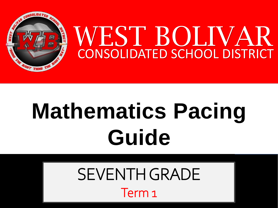

# **Mathematics Pacing Guide**

SEVENTH GRADE Term 1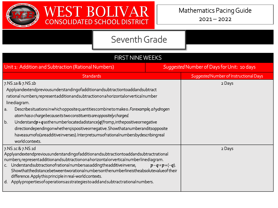



| <b>FIRST NINE WEEKS</b>                                                                                                                                                                                                                                                                                                                                                                                                                                                                                                                                                                                                                                                 |                      |                                            |  |
|-------------------------------------------------------------------------------------------------------------------------------------------------------------------------------------------------------------------------------------------------------------------------------------------------------------------------------------------------------------------------------------------------------------------------------------------------------------------------------------------------------------------------------------------------------------------------------------------------------------------------------------------------------------------------|----------------------|--------------------------------------------|--|
| Unit 1: Addition and Subtraction (Rational Numbers)                                                                                                                                                                                                                                                                                                                                                                                                                                                                                                                                                                                                                     |                      | Suggested Number of Days for Unit: 10 days |  |
| <b>Standards</b>                                                                                                                                                                                                                                                                                                                                                                                                                                                                                                                                                                                                                                                        |                      | Suggested Number of Instructional Days     |  |
| 7.NS.1a & 7.NS.1b<br>Applyandextendpreviousunderstandingofadditionandsubtractiontoaddandsubtract<br>rational numbers; representadditionandsubtractiononahorizontalorverticalnumber<br>linediagram.<br>Describesituations in which opposite quantities combine to make o. For example, a hydrogen<br>a.<br>atom has o charge because its two constituents are oppositely charged.<br>b.<br>Understand $p$ +q asthenumberlocated adistance  q fromp, in the positive or negative<br>directiondependingonwhethergispositiveornegative. Showthatanumberanditsopposite<br>haveasumofo(areadditiveinverses).Interpretsumsofrationalnumbersbydescribingreal<br>world contexts. |                      | 2 Days                                     |  |
| 7.NS.1c & 7.NS.1d<br>Applyandextendpreviousunderstandingofadditionandsubtractiontoaddandsubtractrational<br>numbers; represent addition and subtraction on a horizontal or vertical numberlined iagram.<br>c. Understandsubtractionofrationalnumbersasaddingtheadditiveinverse,<br>Showthatthedistancebetweentworationalnumbersonthenumberlineistheabsolutevalueof their<br>difference. Apply this principle in real-world contexts.<br>d. Applyproperties of operations as strategies to add and subtract rational numbers.                                                                                                                                            | $p - q = p + (-q)$ . | 2 Days                                     |  |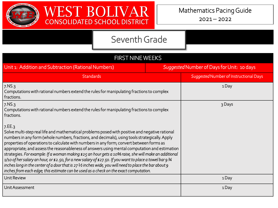



| <b>FIRST NINE WEEKS</b>                                                                                                                                                                                                                                                                                                                                                                                                                                                                                                                                                                                                                                                                                                                                                                                                                    |                                            |                                        |  |
|--------------------------------------------------------------------------------------------------------------------------------------------------------------------------------------------------------------------------------------------------------------------------------------------------------------------------------------------------------------------------------------------------------------------------------------------------------------------------------------------------------------------------------------------------------------------------------------------------------------------------------------------------------------------------------------------------------------------------------------------------------------------------------------------------------------------------------------------|--------------------------------------------|----------------------------------------|--|
| Unit 1: Addition and Subtraction (Rational Numbers)                                                                                                                                                                                                                                                                                                                                                                                                                                                                                                                                                                                                                                                                                                                                                                                        | Suggested Number of Days for Unit: 10 days |                                        |  |
| <b>Standards</b>                                                                                                                                                                                                                                                                                                                                                                                                                                                                                                                                                                                                                                                                                                                                                                                                                           |                                            | Suggested Number of Instructional Days |  |
| 7.NS.3<br>Computations with rational numbers extend the rules for manipulating fractions to complex<br>fractions.                                                                                                                                                                                                                                                                                                                                                                                                                                                                                                                                                                                                                                                                                                                          |                                            | 1Day                                   |  |
| 7.NS.3<br>Computations with rational numbers extend the rules for manipulating fractions to complex<br>fractions.                                                                                                                                                                                                                                                                                                                                                                                                                                                                                                                                                                                                                                                                                                                          |                                            | 3 Days                                 |  |
| 7EE.3<br>Solve multi-step real life and mathematical problems posed with positive and negative rational<br>numbers in any form (whole numbers, fractions, and decimals), using tools strategically. Apply<br>properties of operations to calculate with numbers in any form; convert between forms as<br>appropriate; and assess the reasonableness of answers using mental computation and estimation<br>strategies. For example: If a woman making \$25 an hour gets a 10% raise, she will make an additional<br>$1/10$ of her salary an hour, or \$2.50, for a new salary of \$27.50. If you want to place a towel bar 9 34<br>inches long in the center of a door that is $27\frac{1}{2}$ inches wide, you will need to place the bar about 9<br>inches from each edge; this estimate can be used as a check on the exact computation. |                                            |                                        |  |
| Unit Review                                                                                                                                                                                                                                                                                                                                                                                                                                                                                                                                                                                                                                                                                                                                                                                                                                |                                            | 1Day                                   |  |
| Unit Assessment                                                                                                                                                                                                                                                                                                                                                                                                                                                                                                                                                                                                                                                                                                                                                                                                                            |                                            | 1Day                                   |  |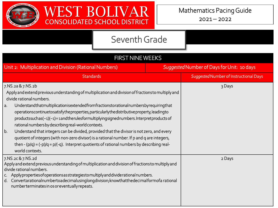



| <b>FIRST NINE WEEKS</b>                                                                                                                                                                                                                                                                                                                                                                                                                                                                                                                                                                                                                                                                                                                                                                                                     |  |                                            |  |
|-----------------------------------------------------------------------------------------------------------------------------------------------------------------------------------------------------------------------------------------------------------------------------------------------------------------------------------------------------------------------------------------------------------------------------------------------------------------------------------------------------------------------------------------------------------------------------------------------------------------------------------------------------------------------------------------------------------------------------------------------------------------------------------------------------------------------------|--|--------------------------------------------|--|
| Unit 2: Multiplication and Division (Rational Numbers)                                                                                                                                                                                                                                                                                                                                                                                                                                                                                                                                                                                                                                                                                                                                                                      |  | Suggested Number of Days for Unit: 10 days |  |
| <b>Standards</b>                                                                                                                                                                                                                                                                                                                                                                                                                                                                                                                                                                                                                                                                                                                                                                                                            |  | Suggested Number of Instructional Days     |  |
| 7.NS.2a & 7.NS.2b<br>Apply and extend previous understanding of multiplication and division of fractions to multiply and<br>divide rational numbers.<br>Understandthatmultiplicationisextendedfromfractionstorationalnumbersbyrequiringthat<br>a.<br>operations continue to satisfy the properties, particularly the distributive property, leading to<br>productssuchas(-1)(-1)=1andtherulesformultiplyingsignednumbers.Interpretproducts of<br>rational numbers by describing real-world contexts.<br>Understand that integers can be divided, provided that the divisor is not zero, and every<br>b.<br>quotient of integers (with non-zero divisor) is a rational number. If p and q are integers,<br>then - $(p/q) = (-p)/q = p/(-q)$ . Interpret quotients of rational numbers by describing real-<br>world contexts. |  | 3 Days                                     |  |
| 7.NS.2c & 7.NS.2d<br>Apply and extend previous understanding of multiplication and division of fractions to multiply and<br>divide rational numbers.<br>c. Applyproperties of operations as strategies to multiply and dividerational numbers.<br>d. Convertarationalnumbertoadecimalusinglongdivision; knowthatthedecimalformofa rational<br>numberterminates in os or eventually repeats.                                                                                                                                                                                                                                                                                                                                                                                                                                 |  | 2 Days                                     |  |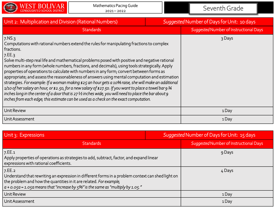

| Unit 2: Multiplication and Division (Rational Numbers)                                                                                                                                                                                                                                                                                                                                                                                                                                                                                                                                                                                                                                                                                                                                                                                                                                                                                                                | Suggested Number of Days for Unit: 10 days |                                        |
|-----------------------------------------------------------------------------------------------------------------------------------------------------------------------------------------------------------------------------------------------------------------------------------------------------------------------------------------------------------------------------------------------------------------------------------------------------------------------------------------------------------------------------------------------------------------------------------------------------------------------------------------------------------------------------------------------------------------------------------------------------------------------------------------------------------------------------------------------------------------------------------------------------------------------------------------------------------------------|--------------------------------------------|----------------------------------------|
| <b>Standards</b>                                                                                                                                                                                                                                                                                                                                                                                                                                                                                                                                                                                                                                                                                                                                                                                                                                                                                                                                                      |                                            | Suggested Number of Instructional Days |
| $7.$ NS. $3$<br>Computations with rational numbers extend the rules for manipulating fractions to complex<br>fractions.<br>7.EE.3<br>Solve multi-step real life and mathematical problems posed with positive and negative rational<br>numbers in any form (whole numbers, fractions, and decimals), using tools strategically. Apply<br>properties of operations to calculate with numbers in any form; convert between forms as<br>appropriate; and assess the reasonableness of answers using mental computation and estimation<br>strategies. For example: If a woman making \$25 an hour gets a 10% raise, she will make an additional<br>1/10 of her salary an hour, or \$2.50, for a new salary of \$27.50. If you want to place a towel bar 9 3/4<br>inches long in the center of a door that is $27\frac{1}{2}$ inches wide, you will need to place the bar about 9<br>inches from each edge; this estimate can be used as a check on the exact computation. |                                            | 3 Days                                 |
| Unit Review                                                                                                                                                                                                                                                                                                                                                                                                                                                                                                                                                                                                                                                                                                                                                                                                                                                                                                                                                           |                                            | 1Day                                   |
| Unit Assessment                                                                                                                                                                                                                                                                                                                                                                                                                                                                                                                                                                                                                                                                                                                                                                                                                                                                                                                                                       |                                            | 1 Day                                  |

| Unit 3: Expressions                                                                                                                                                                                                                                                        | Suggested Number of Days for Unit: 15 days |                                        |
|----------------------------------------------------------------------------------------------------------------------------------------------------------------------------------------------------------------------------------------------------------------------------|--------------------------------------------|----------------------------------------|
| <b>Standards</b>                                                                                                                                                                                                                                                           |                                            | Suggested Number of Instructional Days |
| 7.EE.1<br>Apply properties of operations as strategies to add, subtract, factor, and expand linear<br>expressions with rational coefficients.                                                                                                                              |                                            | 9 Days                                 |
| 7EE.2<br>Understand that rewriting an expression in different forms in a problem context can shed light on<br>the problem and how the quantities in it are related. For example,<br>$a + 0.05a = 1.05a$ means that "increase by $5\%$ " is the same as "multiply by 1.05." |                                            | 4 Days                                 |
| Unit Review                                                                                                                                                                                                                                                                |                                            | 1Day                                   |
| Unit Assessment                                                                                                                                                                                                                                                            |                                            | 1Day                                   |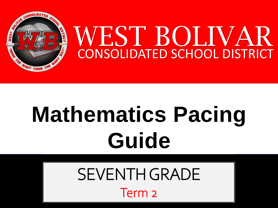

# **Mathematics Pacing Guide**

SEVENTH GRADE Term<sub>2</sub>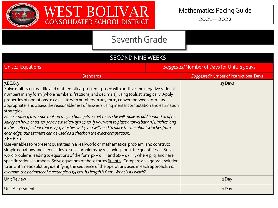



| <b>SECOND NINE WEEKS</b>                                                                                                                                                                                                                                                                                                                                                                                                                                                                                                                                                                                                                                                                                                                                                                                                                                                                                                                                                                                                                                                                                                                                                                                                                                                                                                                                                                                                                                                        |                                            |                                        |
|---------------------------------------------------------------------------------------------------------------------------------------------------------------------------------------------------------------------------------------------------------------------------------------------------------------------------------------------------------------------------------------------------------------------------------------------------------------------------------------------------------------------------------------------------------------------------------------------------------------------------------------------------------------------------------------------------------------------------------------------------------------------------------------------------------------------------------------------------------------------------------------------------------------------------------------------------------------------------------------------------------------------------------------------------------------------------------------------------------------------------------------------------------------------------------------------------------------------------------------------------------------------------------------------------------------------------------------------------------------------------------------------------------------------------------------------------------------------------------|--------------------------------------------|----------------------------------------|
| Unit 4: Equations                                                                                                                                                                                                                                                                                                                                                                                                                                                                                                                                                                                                                                                                                                                                                                                                                                                                                                                                                                                                                                                                                                                                                                                                                                                                                                                                                                                                                                                               | Suggested Number of Days for Unit: 15 days |                                        |
| <b>Standards</b>                                                                                                                                                                                                                                                                                                                                                                                                                                                                                                                                                                                                                                                                                                                                                                                                                                                                                                                                                                                                                                                                                                                                                                                                                                                                                                                                                                                                                                                                |                                            | Suggested Number of Instructional Days |
| 7.EE.B.3<br>Solve multi-step real-life and mathematical problems posed with positive and negative rational<br>numbers in any form (whole numbers, fractions, and decimals), using tools strategically. Apply<br>properties of operations to calculate with numbers in any form; convert between forms as<br>appropriate; and assess the reasonableness of answers using mental computation and estimation<br>strategies.<br>For example: If a woman making \$25 an hour gets a 10% raise, she will make an additional 1/10 of her<br>salary an hour, or \$2.50, for a new salary of \$27.50. If you want to place a towel bar 9 3/4 inches long<br>in the center of a door that is 27 1/2 inches wide, you will need to place the bar about $\mathsf g$ inches from<br>each edge; this estimate can be used as a check on the exact computation.<br>7.EE.B.4a<br>Use variables to represent quantities in a real-world or mathematical problem, and construct<br>simple equations and inequalities to solve problems by reasoning about the quantities. a. Solve<br>word problems leading to equations of the form $px + q = r$ and $p(x + q) = r$ , where p, q, and r are<br>specific rational numbers. Solve equations of these forms fluently. Compare an algebraic solution<br>to an arithmetic solution, identifying the sequence of the operations used in each approach. For<br>example, the perimeter of a rectangle is $54$ cm. Its length is 6 cm. What is its width? |                                            | 13 Days                                |
| <b>Unit Review</b>                                                                                                                                                                                                                                                                                                                                                                                                                                                                                                                                                                                                                                                                                                                                                                                                                                                                                                                                                                                                                                                                                                                                                                                                                                                                                                                                                                                                                                                              |                                            | 1Day                                   |
| <b>Unit Assessment</b>                                                                                                                                                                                                                                                                                                                                                                                                                                                                                                                                                                                                                                                                                                                                                                                                                                                                                                                                                                                                                                                                                                                                                                                                                                                                                                                                                                                                                                                          |                                            | 1Day                                   |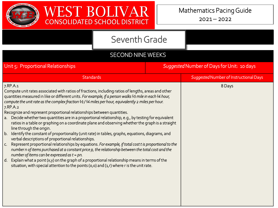

### Seventh Grade

#### SECOND NINE WEEKS

| Unit 5: Proportional Relationships                                                                                                                                                                                                                                                                                                                                                                                                                                                                                                                                                                                                                             | Suggested Number of Days for Unit: 10 days |
|----------------------------------------------------------------------------------------------------------------------------------------------------------------------------------------------------------------------------------------------------------------------------------------------------------------------------------------------------------------------------------------------------------------------------------------------------------------------------------------------------------------------------------------------------------------------------------------------------------------------------------------------------------------|--------------------------------------------|
| <b>Standards</b>                                                                                                                                                                                                                                                                                                                                                                                                                                                                                                                                                                                                                                               | Suggested Number of Instructional Days     |
| 7.RP.A.1<br>Compute unit rates associated with ratios of fractions, including ratios of lengths, areas and other<br>quantities measured in like or different units. For example, if a person walks 1/2 mile in each 1/4 hour,<br>compute the unit rate as the complex fraction $\frac{1}{2}$ / $\frac{1}{4}$ miles per hour, equivalently 2 miles per hour.<br>7.RP.A.2<br>Recognize and represent proportional relationships between quantities.<br>a. Decide whether two quantities are in a proportional relationship, e.g., by testing for equivalent<br>ratios in a table or graphing on a coordinate plane and observing whether the graph is a straight | 8 Days                                     |
| line through the origin.<br>Identify the constant of proportionality (unit rate) in tables, graphs, equations, diagrams, and<br>b.<br>verbal descriptions of proportional relationships.<br>Represent proportional relationships by equations. For example, if total cost t is proportional to the<br>$C_{1}$<br>number n of items purchased at a constant price p, the relationship between the total cost and the<br>number of items can be expressed as $t = pn$ .                                                                                                                                                                                          |                                            |
| Explain what a point $(x, y)$ on the graph of a proportional relationship means in terms of the<br>d.<br>situation, with special attention to the points (0,0) and (1,r) where r is the unit rate.                                                                                                                                                                                                                                                                                                                                                                                                                                                             |                                            |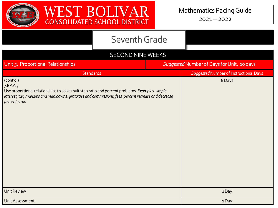



#### SECOND NINE WEEKS

| Unit 5: Proportional Relationships                                                                                                                                                                                                                  | Suggested Number of Days for Unit: 10 days |                                        |
|-----------------------------------------------------------------------------------------------------------------------------------------------------------------------------------------------------------------------------------------------------|--------------------------------------------|----------------------------------------|
| <b>Standards</b>                                                                                                                                                                                                                                    |                                            | Suggested Number of Instructional Days |
| (cont'd.)<br>7.RP.A.3<br>Use proportional relationships to solve multistep ratio and percent problems. Examples: simple<br>interest, tax, markups and markdowns, gratuities and commissions, fees, percent increase and decrease,<br>percent error. |                                            | 8 Days                                 |
| <b>Unit Review</b>                                                                                                                                                                                                                                  |                                            | 1Day                                   |
| Unit Assessment                                                                                                                                                                                                                                     |                                            | 1Day                                   |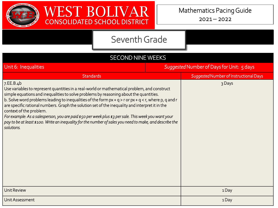

| <b>SECOND NINE WEEKS</b>                                                                                                                                                                                                                                                                                                                                                                                                                                                                                                                                                                                                                                                          |                                           |                                        |  |
|-----------------------------------------------------------------------------------------------------------------------------------------------------------------------------------------------------------------------------------------------------------------------------------------------------------------------------------------------------------------------------------------------------------------------------------------------------------------------------------------------------------------------------------------------------------------------------------------------------------------------------------------------------------------------------------|-------------------------------------------|----------------------------------------|--|
| Unit 6: Inequalities                                                                                                                                                                                                                                                                                                                                                                                                                                                                                                                                                                                                                                                              | Suggested Number of Days for Unit: 5 days |                                        |  |
| <b>Standards</b>                                                                                                                                                                                                                                                                                                                                                                                                                                                                                                                                                                                                                                                                  |                                           | Suggested Number of Instructional Days |  |
| 7.EE.B.4b<br>Use variables to represent quantities in a real-world or mathematical problem, and construct<br>simple equations and inequalities to solve problems by reasoning about the quantities.<br>b. Solve word problems leading to inequalities of the form $px + q > r$ or $px + q < r$ , where p, q and r<br>are specific rational numbers. Graph the solution set of the inequality and interpret it in the<br>context of the problem.<br>For example: As a salesperson, you are paid \$50 per week plus \$3 per sale. This week you want your<br>pay to be at least \$100. Write an inequality for the number of sales you need to make, and describe the<br>solutions. |                                           | 3 Days                                 |  |
| <b>Unit Review</b>                                                                                                                                                                                                                                                                                                                                                                                                                                                                                                                                                                                                                                                                |                                           | 1Day                                   |  |
| Unit Assessment                                                                                                                                                                                                                                                                                                                                                                                                                                                                                                                                                                                                                                                                   |                                           | 1Day                                   |  |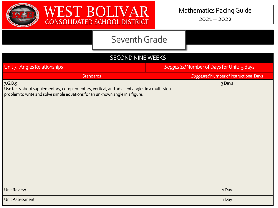



| <b>SECOND NINE WEEKS</b>                                                                                                                                                                 |                                           |                                        |  |
|------------------------------------------------------------------------------------------------------------------------------------------------------------------------------------------|-------------------------------------------|----------------------------------------|--|
| Unit 7: Angles Relationships                                                                                                                                                             | Suggested Number of Days for Unit: 5 days |                                        |  |
| <b>Standards</b>                                                                                                                                                                         |                                           | Suggested Number of Instructional Days |  |
| 7. G.B.5<br>Use facts about supplementary, complementary, vertical, and adjacent angles in a multi-step<br>problem to write and solve simple equations for an unknown angle in a figure. |                                           | 3 Days                                 |  |
| <b>Unit Review</b>                                                                                                                                                                       |                                           | 1Day                                   |  |
| Unit Assessment                                                                                                                                                                          |                                           | 1Day                                   |  |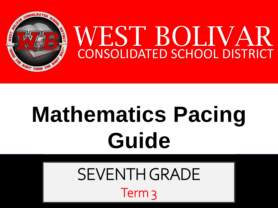

# **Mathematics Pacing Guide**

SEVENTH GRADE Term 3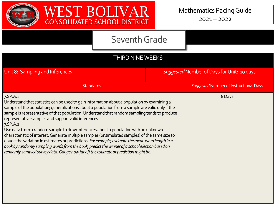

| <b>THIRD NINE WEEKS</b>                                                                                                                                                                                                                                                                                                                                                                                                                                                                                                                                                                                                                                                                                                                                                                                                                                                     |                                            |                                        |  |
|-----------------------------------------------------------------------------------------------------------------------------------------------------------------------------------------------------------------------------------------------------------------------------------------------------------------------------------------------------------------------------------------------------------------------------------------------------------------------------------------------------------------------------------------------------------------------------------------------------------------------------------------------------------------------------------------------------------------------------------------------------------------------------------------------------------------------------------------------------------------------------|--------------------------------------------|----------------------------------------|--|
| Unit 8: Sampling and Inferences                                                                                                                                                                                                                                                                                                                                                                                                                                                                                                                                                                                                                                                                                                                                                                                                                                             | Suggested Number of Days for Unit: 10 days |                                        |  |
| <b>Standards</b>                                                                                                                                                                                                                                                                                                                                                                                                                                                                                                                                                                                                                                                                                                                                                                                                                                                            |                                            | Suggested Number of Instructional Days |  |
| 7.SP.A.1<br>Understand that statistics can be used to gain information about a population by examining a<br>sample of the population; generalizations about a population from a sample are valid only if the<br>sample is representative of that population. Understand that random sampling tends to produce<br>representative samples and support valid inferences.<br>7.SP.A.2<br>Use data from a random sample to draw inferences about a population with an unknown<br>characteristic of interest. Generate multiple samples (or simulated samples) of the same size to<br>gauge the variation in estimates or predictions. For example, estimate the mean word length in a<br>book by randomly sampling words from the book; predict the winner of a school election based on<br>randomly sampled survey data. Gauge how far off the estimate or prediction might be. |                                            | 8 Days                                 |  |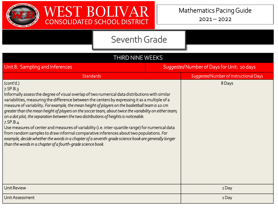



| <b>THIRD NINE WEEKS</b>                                                                                                                                                                                                                                                                                                                                                                                                                                                                                                                                                                                                                                                                                                                                                                                                                                                                                                         |  |                                            |
|---------------------------------------------------------------------------------------------------------------------------------------------------------------------------------------------------------------------------------------------------------------------------------------------------------------------------------------------------------------------------------------------------------------------------------------------------------------------------------------------------------------------------------------------------------------------------------------------------------------------------------------------------------------------------------------------------------------------------------------------------------------------------------------------------------------------------------------------------------------------------------------------------------------------------------|--|--------------------------------------------|
| Unit 8: Sampling and Inferences                                                                                                                                                                                                                                                                                                                                                                                                                                                                                                                                                                                                                                                                                                                                                                                                                                                                                                 |  | Suggested Number of Days for Unit: 10 days |
| Standards                                                                                                                                                                                                                                                                                                                                                                                                                                                                                                                                                                                                                                                                                                                                                                                                                                                                                                                       |  | Suggested Number of Instructional Days     |
| (cont'd.)<br>$7.$ SP $.B.3$<br>Informally assess the degree of visual overlap of two numerical data distributions with similar<br>variabilities, measuring the difference between the centers by expressing it as a multiple of a<br>measure of variability. For example, the mean height of players on the basketball team is 10 cm<br>greater than the mean height of players on the soccer team, about twice the variability on either team;<br>on a dot plot, the separation between the two distributions of heights is noticeable.<br>$7.$ SP $.B.4$<br>Use measures of center and measures of variability (i.e. inter-quartile range) for numerical data<br>from random samples to draw informal comparative inferences about two populations. For<br>example, decide whether the words in a chapter of a seventh-grade science book are generally longer<br>than the words in a chapter of a fourth-grade science book. |  | 8 Days                                     |
| <b>Unit Review</b>                                                                                                                                                                                                                                                                                                                                                                                                                                                                                                                                                                                                                                                                                                                                                                                                                                                                                                              |  | 1Day                                       |
| Unit Assessment                                                                                                                                                                                                                                                                                                                                                                                                                                                                                                                                                                                                                                                                                                                                                                                                                                                                                                                 |  | 1Day                                       |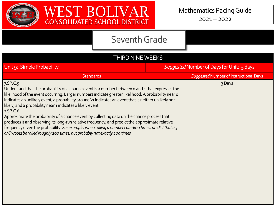

| <b>THIRD NINE WEEKS</b>                                                                                                                                                                                                                                                                                                                                                                                                                                                                                                                                                                                                                                                                                                                                                                               |                                           |
|-------------------------------------------------------------------------------------------------------------------------------------------------------------------------------------------------------------------------------------------------------------------------------------------------------------------------------------------------------------------------------------------------------------------------------------------------------------------------------------------------------------------------------------------------------------------------------------------------------------------------------------------------------------------------------------------------------------------------------------------------------------------------------------------------------|-------------------------------------------|
| Unit 9: Simple Probability                                                                                                                                                                                                                                                                                                                                                                                                                                                                                                                                                                                                                                                                                                                                                                            | Suggested Number of Days for Unit: 5 days |
| <b>Standards</b>                                                                                                                                                                                                                                                                                                                                                                                                                                                                                                                                                                                                                                                                                                                                                                                      | Suggested Number of Instructional Days    |
| $7.$ SP.C. $5$<br>Understand that the probability of a chance event is a number between o and 1 that expresses the<br>likelihood of the event occurring. Larger numbers indicate greater likelihood. A probability near o<br>indicates an unlikely event, a probability around 1/2 indicates an event that is neither unlikely nor<br>likely, and a probability near 1 indicates a likely event.<br>7.SP.C.6<br>Approximate the probability of a chance event by collecting data on the chance process that<br>produces it and observing its long-run relative frequency, and predict the approximate relative<br>frequency given the probability. For example, when rolling a number cube 600 times, predict that a 3<br>or 6 would be rolled roughly 200 times, but probably not exactly 200 times. | 3 Days                                    |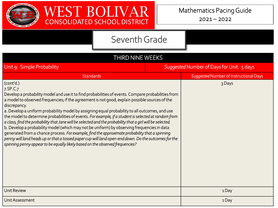

| <b>THIRD NINE WEEKS</b>                                                                                                                                                                                                                                                                                                                                                                                                                                                                                                                                                                                                                                                                                                                                                                                                                                                                                                                                        |                                           |
|----------------------------------------------------------------------------------------------------------------------------------------------------------------------------------------------------------------------------------------------------------------------------------------------------------------------------------------------------------------------------------------------------------------------------------------------------------------------------------------------------------------------------------------------------------------------------------------------------------------------------------------------------------------------------------------------------------------------------------------------------------------------------------------------------------------------------------------------------------------------------------------------------------------------------------------------------------------|-------------------------------------------|
| Unit 9: Simple Probability                                                                                                                                                                                                                                                                                                                                                                                                                                                                                                                                                                                                                                                                                                                                                                                                                                                                                                                                     | Suggested Number of Days for Unit: 5 days |
| <b>Standards</b>                                                                                                                                                                                                                                                                                                                                                                                                                                                                                                                                                                                                                                                                                                                                                                                                                                                                                                                                               | Suggested Number of Instructional Days    |
| (cont'd.)<br>7.SP.C.7<br>Develop a probability model and use it to find probabilities of events. Compare probabilities from<br>a model to observed frequencies; if the agreement is not good, explain possible sources of the<br>discrepancy.<br>a. Develop a uniform probability model by assigning equal probability to all outcomes, and use<br>the model to determine probabilities of events. For example, if a student is selected at random from<br>a class, find the probability that Jane will be selected and the probability that a girl will be selected.<br>b. Develop a probability model (which may not be uniform) by observing frequencies in data<br>generated from a chance process. For example, find the approximate probability that a spinning<br>penny will land heads up or that a tossed paper cup will land open-end down. Do the outcomes for the<br>spinning penny appear to be equally likely based on the observed frequencies? | 3 Days                                    |
| <b>Unit Review</b>                                                                                                                                                                                                                                                                                                                                                                                                                                                                                                                                                                                                                                                                                                                                                                                                                                                                                                                                             | 1Day                                      |
| Unit Assessment                                                                                                                                                                                                                                                                                                                                                                                                                                                                                                                                                                                                                                                                                                                                                                                                                                                                                                                                                | 1Day                                      |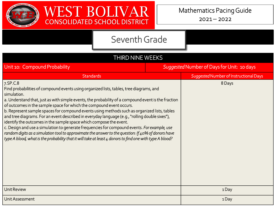

| THIRD NINE WEEKS                                                                                                                                                                                                                                                                                                                                                                                                                                                                                                                                                                                                                                                                                                                                                                                                                                                                                |                                            |                                        |
|-------------------------------------------------------------------------------------------------------------------------------------------------------------------------------------------------------------------------------------------------------------------------------------------------------------------------------------------------------------------------------------------------------------------------------------------------------------------------------------------------------------------------------------------------------------------------------------------------------------------------------------------------------------------------------------------------------------------------------------------------------------------------------------------------------------------------------------------------------------------------------------------------|--------------------------------------------|----------------------------------------|
| Unit 10: Compound Probability                                                                                                                                                                                                                                                                                                                                                                                                                                                                                                                                                                                                                                                                                                                                                                                                                                                                   | Suggested Number of Days for Unit: 10 days |                                        |
| <b>Standards</b>                                                                                                                                                                                                                                                                                                                                                                                                                                                                                                                                                                                                                                                                                                                                                                                                                                                                                |                                            | Suggested Number of Instructional Days |
| 7.SP.C.8<br>Find probabilities of compound events using organized lists, tables, tree diagrams, and<br>simulation.<br>a. Understand that, just as with simple events, the probability of a compound event is the fraction<br>of outcomes in the sample space for which the compound event occurs.<br>b. Represent sample spaces for compound events using methods such as organized lists, tables<br>and tree diagrams. For an event described in everyday language (e.g., "rolling double sixes"),<br>identify the outcomes in the sample space which compose the event.<br>c. Design and use a simulation to generate frequencies for compound events. For example, use<br>random digits as a simulation tool to approximate the answer to the question: If $40\%$ of donors have<br>type A blood, what is the probability that it will take at least 4 donors to find one with type A blood? |                                            | 8 Days                                 |
| <b>Unit Review</b>                                                                                                                                                                                                                                                                                                                                                                                                                                                                                                                                                                                                                                                                                                                                                                                                                                                                              |                                            | 1Day                                   |
| Unit Assessment                                                                                                                                                                                                                                                                                                                                                                                                                                                                                                                                                                                                                                                                                                                                                                                                                                                                                 |                                            | 1Day                                   |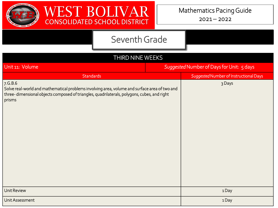



| THIRD NINE WEEKS                                                                                                                                                                                                  |  |                                           |
|-------------------------------------------------------------------------------------------------------------------------------------------------------------------------------------------------------------------|--|-------------------------------------------|
| Unit 11: Volume                                                                                                                                                                                                   |  | Suggested Number of Days for Unit: 5 days |
| <b>Standards</b>                                                                                                                                                                                                  |  | Suggested Number of Instructional Days    |
| 7.G.B.6<br>Solve real-world and mathematical problems involving area, volume and surface area of two and<br>three-dimensional objects composed of triangles, quadrilaterals, polygons, cubes, and right<br>prisms |  | 3 Days                                    |
| <b>Unit Review</b>                                                                                                                                                                                                |  | 1Day                                      |
| Unit Assessment                                                                                                                                                                                                   |  | 1Day                                      |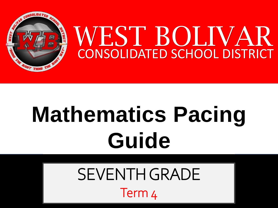

# **Mathematics Pacing Guide**

SEVENTH GRADE Term 4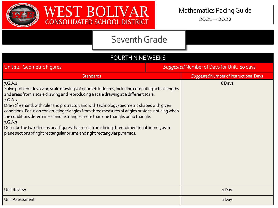



| <b>FOURTH NINE WEEKS</b>                                                                                                                                                                                                                                                                                                                                                                                                                                                                                                                                                                                                                                                                             |                                            |
|------------------------------------------------------------------------------------------------------------------------------------------------------------------------------------------------------------------------------------------------------------------------------------------------------------------------------------------------------------------------------------------------------------------------------------------------------------------------------------------------------------------------------------------------------------------------------------------------------------------------------------------------------------------------------------------------------|--------------------------------------------|
| Unit 12: Geometric Figures                                                                                                                                                                                                                                                                                                                                                                                                                                                                                                                                                                                                                                                                           | Suggested Number of Days for Unit: 10 days |
| <b>Standards</b>                                                                                                                                                                                                                                                                                                                                                                                                                                                                                                                                                                                                                                                                                     | Suggested Number of Instructional Days     |
| 7.G.A.1<br>Solve problems involving scale drawings of geometric figures, including computing actual lengths<br>and areas from a scale drawing and reproducing a scale drawing at a different scale.<br>7.G.A.2<br>Draw (freehand, with ruler and protractor, and with technology) geometric shapes with given<br>conditions. Focus on constructing triangles from three measures of angles or sides, noticing when<br>the conditions determine a unique triangle, more than one triangle, or no triangle.<br>7.G.A.3<br>Describe the two-dimensional figures that result from slicing three-dimensional figures, as in<br>plane sections of right rectangular prisms and right rectangular pyramids. | 8 Days                                     |
| <b>Unit Review</b>                                                                                                                                                                                                                                                                                                                                                                                                                                                                                                                                                                                                                                                                                   | 1Day                                       |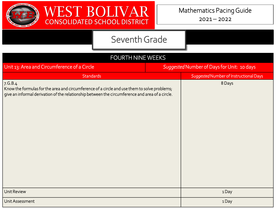



| FOURTH NINE WEEKS                                                                                                                                                                                           |                                            |                                        |  |
|-------------------------------------------------------------------------------------------------------------------------------------------------------------------------------------------------------------|--------------------------------------------|----------------------------------------|--|
| Unit 13: Area and Circumference of a Circle                                                                                                                                                                 | Suggested Number of Days for Unit: 10 days |                                        |  |
| <b>Standards</b>                                                                                                                                                                                            |                                            | Suggested Number of Instructional Days |  |
| 7. G.B.4<br>Know the formulas for the area and circumference of a circle and use them to solve problems;<br>give an informal derivation of the relationship between the circumference and area of a circle. |                                            | 8 Days                                 |  |
| Unit Review                                                                                                                                                                                                 |                                            | 1Day                                   |  |
| Unit Assessment                                                                                                                                                                                             |                                            | 1Day                                   |  |